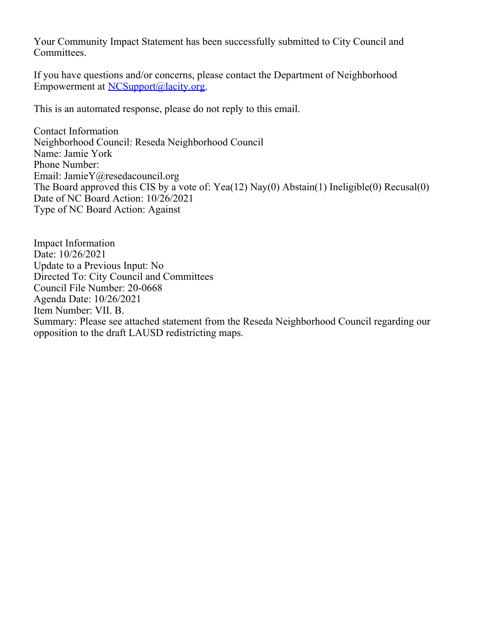Your Community Impact Statement has been successfully submitted to City Council and Committees.

If you have questions and/or concerns, please contact the Department of Neighborhood Empowerment at [NCSupport@lacity.org](mailto:NCSupport@lacity.org).

This is an automated response, please do not reply to this email.

Contact Information Neighborhood Council: Reseda Neighborhood Council Name: Jamie York Phone Number: Email: JamieY@resedacouncil.org The Board approved this CIS by a vote of: Yea(12) Nay(0) Abstain(1) Ineligible(0) Recusal(0) Date of NC Board Action: 10/26/2021 Type of NC Board Action: Against

Impact Information Date: 10/26/2021 Update to a Previous Input: No Directed To: City Council and Committees Council File Number: 20-0668 Agenda Date: 10/26/2021 Item Number: VII. B. Summary: Please see attached statement from the Reseda Neighborhood Council regarding our opposition to the draft LAUSD redistricting maps.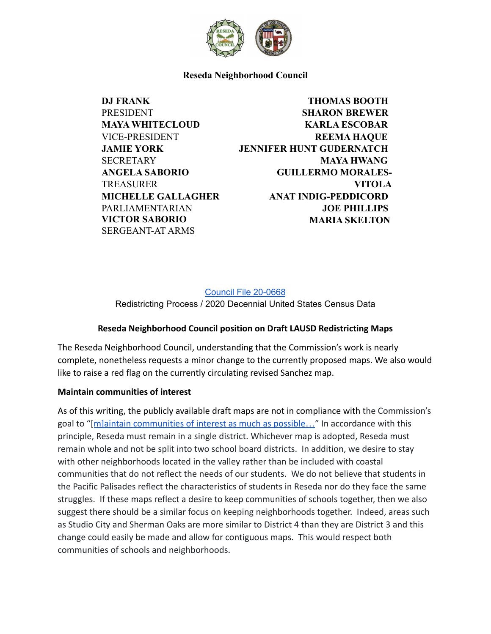

**Reseda Neighborhood Council**

**DJ FRANK** PRESIDENT **MAYA WHITECLOUD** VICE-PRESIDENT **JAMIE YORK SECRETARY ANGELA SABORIO** TREASURER **MICHELLE GALLAGHER** PARLIAMENTARIAN **VICTOR SABORIO** SERGEANT-AT ARMS

**THOMAS BOOTH SHARON BREWER KARLA ESCOBAR REEMA HAQUE JENNIFER HUNT GUDERNATCH MAYA HWANG GUILLERMO MORALES-VITOLA ANAT INDIG-PEDDICORD JOE PHILLIPS MARIA SKELTON**

Council File [20-0668](https://cityclerk.lacity.org/lacityclerkconnect/index.cfm?fa=ccfi.viewrecord&cfnumber=20-0668) Redistricting Process / 2020 Decennial United States Census Data

# **Reseda Neighborhood Council position on Draft LAUSD Redistricting Maps**

The Reseda Neighborhood Council, understanding that the Commission's work is nearly complete, nonetheless requests a minor change to the currently proposed maps. We also would like to raise a red flag on the currently circulating revised Sanchez map.

#### **Maintain communities of interest**

As of this writing, the publicly available draft maps are not in compliance with the Commission's goal to "[[m\]aintain communities of interest as much](https://redistricting2021.lacity.org/LAUSDRC/html/about_vision.html) as possible…" In accordance with this principle, Reseda must remain in a single district. Whichever map is adopted, Reseda must remain whole and not be split into two school board districts. In addition, we desire to stay with other neighborhoods located in the valley rather than be included with coastal communities that do not reflect the needs of our students. We do not believe that students in the Pacific Palisades reflect the characteristics of students in Reseda nor do they face the same struggles. If these maps reflect a desire to keep communities of schools together, then we also suggest there should be a similar focus on keeping neighborhoods together. Indeed, areas such as Studio City and Sherman Oaks are more similar to District 4 than they are District 3 and this change could easily be made and allow for contiguous maps. This would respect both communities of schools and neighborhoods.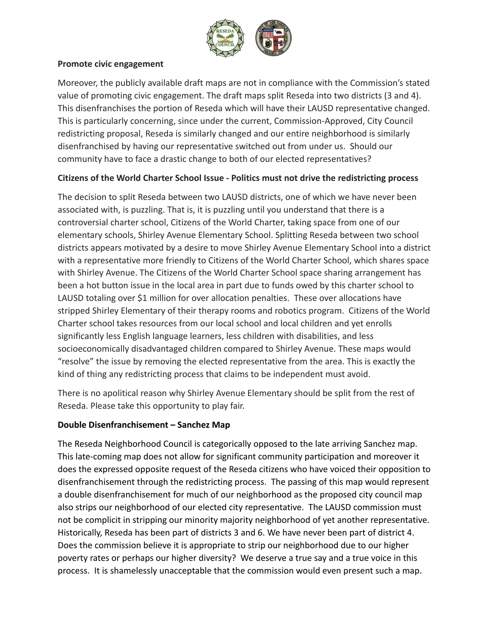

### **Promote civic engagement**

Moreover, the publicly available draft maps are not in compliance with the Commission's stated value of promoting civic engagement. The draft maps split Reseda into two districts (3 and 4). This disenfranchises the portion of Reseda which will have their LAUSD representative changed. This is particularly concerning, since under the current, Commission-Approved, City Council redistricting proposal, Reseda is similarly changed and our entire neighborhood is similarly disenfranchised by having our representative switched out from under us. Should our community have to face a drastic change to both of our elected representatives?

### **Citizens of the World Charter School Issue - Politics must not drive the redistricting process**

The decision to split Reseda between two LAUSD districts, one of which we have never been associated with, is puzzling. That is, it is puzzling until you understand that there is a controversial charter school, Citizens of the World Charter, taking space from one of our elementary schools, Shirley Avenue Elementary School. Splitting Reseda between two school districts appears motivated by a desire to move Shirley Avenue Elementary School into a district with a representative more friendly to Citizens of the World Charter School, which shares space with Shirley Avenue. The Citizens of the World Charter School space sharing arrangement has been a hot button issue in the local area in part due to funds owed by this charter school to LAUSD totaling over \$1 million for over allocation penalties. These over allocations have stripped Shirley Elementary of their therapy rooms and robotics program. Citizens of the World Charter school takes resources from our local school and local children and yet enrolls significantly less English language learners, less children with disabilities, and less socioeconomically disadvantaged children compared to Shirley Avenue. These maps would "resolve" the issue by removing the elected representative from the area. This is exactly the kind of thing any redistricting process that claims to be independent must avoid.

There is no apolitical reason why Shirley Avenue Elementary should be split from the rest of Reseda. Please take this opportunity to play fair.

# **Double Disenfranchisement – Sanchez Map**

The Reseda Neighborhood Council is categorically opposed to the late arriving Sanchez map. This late-coming map does not allow for significant community participation and moreover it does the expressed opposite request of the Reseda citizens who have voiced their opposition to disenfranchisement through the redistricting process. The passing of this map would represent a double disenfranchisement for much of our neighborhood as the proposed city council map also strips our neighborhood of our elected city representative. The LAUSD commission must not be complicit in stripping our minority majority neighborhood of yet another representative. Historically, Reseda has been part of districts 3 and 6. We have never been part of district 4. Does the commission believe it is appropriate to strip our neighborhood due to our higher poverty rates or perhaps our higher diversity? We deserve a true say and a true voice in this process. It is shamelessly unacceptable that the commission would even present such a map.